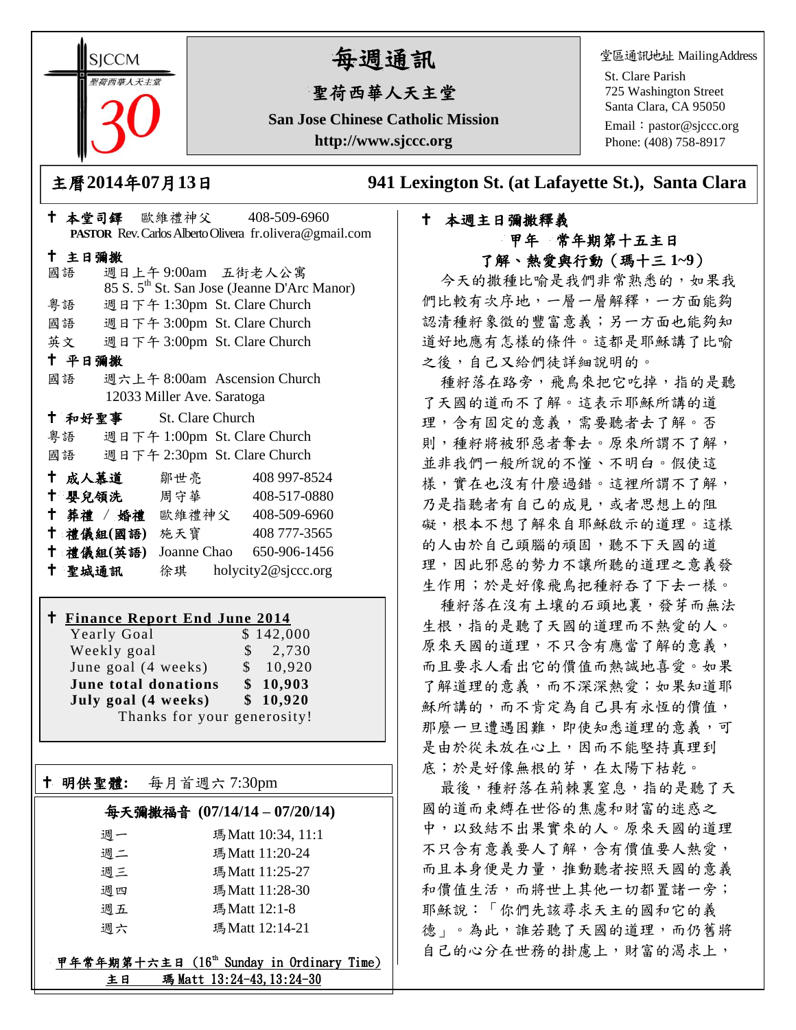**SICCM** 『荷西華人天主』

# 每週通訊

## 聖荷西華人天主堂

**San Jose Chinese Catholic Mission http://www.sjccc.org**

堂區通訊地址 MailingAddress

St. Clare Parish 725 Washington Street Santa Clara, CA 95050

Email: [pastor@sjccc.org](mailto:pastor@sjccc.org) Phone: (408) 758-8917

主曆**2014**年**07**月**13**日 **941 Lexington St. (at Lafayette St.), Santa Clara** 

### 本週主日彌撒釋義 甲年 常年期第十五主日 了解、熱愛與行動(瑪十三 **1~9**)

今天的撒種比喻是我們非常熟悉的,如果我 們比較有次序地,一層一層解釋,一方面能夠 認清種籽象徵的豐富意義;另一方面也能夠知 道好地應有怎樣的條件。這都是耶穌講了比喻 之後,自己又給們徒詳細說明的。

種籽落在路旁,飛鳥來把它吃掉,指的是聽 了天國的道而不了解。這表示耶穌所講的道 理,含有固定的意義,需要聽者去了解。否 則,種籽將被邪惡者奪去。原來所謂不了解, 並非我們一般所說的不懂、不明白。假使這 樣,實在也沒有什麼過錯。這裡所謂不了解, 乃是指聽者有自己的成見,或者思想上的阻 礙,根本不想了解來自耶穌啟示的道理。這樣 的人由於自己頭腦的頑固,聽不下天國的道 理,因此邪惡的勢力不讓所聽的道理之意義發 生作用;於是好像飛鳥把種籽吞了下去一樣。

種籽落在沒有土壤的石頭地裏,發芽而無法 生根,指的是聽了天國的道理而不熱愛的人。 原來天國的道理,不只含有應當了解的意義, 而且要求人看出它的價值而熱誠地喜愛。如果 了解道理的意義,而不深深熱愛;如果知道耶 穌所講的,而不肯定為自己具有永恆的價值, 那麼一旦遭遇困難,即使知悉道理的意義,可 是由於從未放在心上,因而不能堅持真理到 底;於是好像無根的芽,在太陽下枯乾。

最後,種籽落在荊棘裏窒息,指的是聽了天 國的道而束縛在世俗的焦慮和財富的迷惑之 中,以致結不出果實來的人。原來天國的道理 不只含有意義要人了解,含有價值要人熱愛, 而且本身便是力量,推動聽者按照天國的意義 和價值生活,而將世上其他一切都置諸一旁; 耶穌說:「你們先該尋求天主的國和它的義 德」。為此,誰若聽了天國的道理,而仍舊將 自己的心分在世務的掛慮上,財富的渴求上,

|           |                            | † 本堂司鐸 歐維禮神父 408-509-6960                                |
|-----------|----------------------------|----------------------------------------------------------|
|           |                            | PASTOR Rev. Carlos Alberto Olivera fr. olivera@gmail.com |
| 十 主日彌撒    |                            |                                                          |
| 國語        |                            | 週日上午9:00am 五街老人公寓                                        |
|           |                            | 85 S. 5 <sup>th</sup> St. San Jose (Jeanne D'Arc Manor)  |
|           |                            | 粤語 週日下午 1:30pm St. Clare Church                          |
|           |                            | 國語 週日下午 3:00pm St. Clare Church                          |
|           |                            | 英文 週日下午 3:00pm St. Clare Church                          |
| 十 平日彌撒    |                            |                                                          |
| 國語        |                            | 週六上午 8:00am Ascension Church                             |
|           | 12033 Miller Ave. Saratoga |                                                          |
|           | + 和好聖事 St. Clare Church    |                                                          |
|           |                            | 粤語 週日下午 1:00pm St. Clare Church                          |
|           |                            | 國語 週日下午 2:30pm St. Clare Church                          |
|           | 十 成人慕道   鄒世亮               | 408 997-8524                                             |
|           |                            | † 嬰兒領洗 周守華 408-517-0880                                  |
|           |                            | † 葬禮 / 婚禮 歐維禮神父 408-509-6960                             |
|           | 十 禮儀組(國語) 施天寶              | 408 777-3565                                             |
| 十 禮儀組(英語) |                            | Joanne Chao 650-906-1456                                 |
| 十 聖城通訊    |                            | 徐琪 holycity2@sjccc.org                                   |

#### **Finance Report End June 2014**

Yearly Goal \$142,000 Weekly goal  $\qquad$  \$ 2,730 June goal  $(4 \text{ weeks})$  \$ 10,920 **June total donations \$ 10,903 July goal (4 weeks) \$ 10,920** Thanks for your generosity!

明供聖體**:** 每月首週六 7:30pm

Ξ

#### 每天彌撒福音 **(07/14/14 – 07/20/14)**

| 瑪 Matt 10:34, 11:1 |
|--------------------|
| 瑪Matt 11:20-24     |
| 瑪Matt 11:25-27     |
| 瑪Matt 11:28-30     |
| 瑪Matt 12:1-8       |
| 瑪Matt 12:14-21     |
|                    |

甲年常年期第十六主日 (16th Sunday in Ordinary Time) 主日 瑪 Matt 13:24-43, 13:24-30